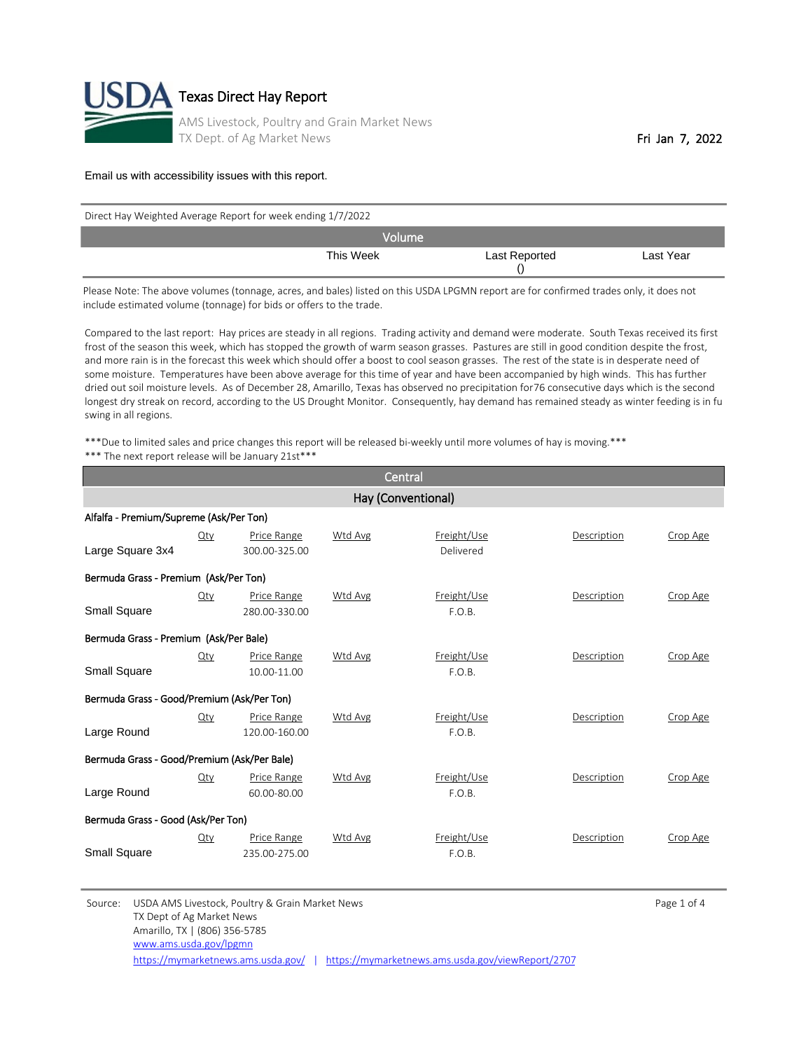

| Direct Hay Weighted Average Report for week ending 1/7/2022 |               |           |  |  |  |
|-------------------------------------------------------------|---------------|-----------|--|--|--|
| Volume                                                      |               |           |  |  |  |
| This Week                                                   | Last Reported | Last Year |  |  |  |

Please Note: The above volumes (tonnage, acres, and bales) listed on this USDA LPGMN report are for confirmed trades only, it does not include estimated volume (tonnage) for bids or offers to the trade.

Compared to the last report: Hay prices are steady in all regions. Trading activity and demand were moderate. South Texas received its first frost of the season this week, which has stopped the growth of warm season grasses. Pastures are still in good condition despite the frost, and more rain is in the forecast this week which should offer a boost to cool season grasses. The rest of the state is in desperate need of some moisture. Temperatures have been above average for this time of year and have been accompanied by high winds. This has further dried out soil moisture levels. As of December 28, Amarillo, Texas has observed no precipitation for 76 consecutive days which is the second longest dry streak on record, according to the US Drought Monitor. Consequently, hay demand has remained steady as winter feeding is in fu swing in all regions.

\*\*\*Due to limited sales and price changes this report will be released bi-weekly until more volumes of hay is moving.\*\*\* \*\*\* The next report release will be January 21st\*\*\*

| Central                                     |                    |                              |                |                          |             |          |  |  |  |
|---------------------------------------------|--------------------|------------------------------|----------------|--------------------------|-------------|----------|--|--|--|
|                                             | Hay (Conventional) |                              |                |                          |             |          |  |  |  |
| Alfalfa - Premium/Supreme (Ask/Per Ton)     |                    |                              |                |                          |             |          |  |  |  |
| Large Square 3x4                            | Qty                | Price Range<br>300.00-325.00 | Wtd Avg        | Freight/Use<br>Delivered | Description | Crop Age |  |  |  |
| Bermuda Grass - Premium (Ask/Per Ton)       |                    |                              |                |                          |             |          |  |  |  |
| Small Square                                | $Q$ ty             | Price Range<br>280.00-330.00 | Wtd Avg        | Freight/Use<br>F.O.B.    | Description | Crop Age |  |  |  |
| Bermuda Grass - Premium (Ask/Per Bale)      |                    |                              |                |                          |             |          |  |  |  |
| <b>Small Square</b>                         | Qty                | Price Range<br>10.00-11.00   | Wtd Avg        | Freight/Use<br>F.O.B.    | Description | Crop Age |  |  |  |
| Bermuda Grass - Good/Premium (Ask/Per Ton)  |                    |                              |                |                          |             |          |  |  |  |
| Large Round                                 | Qty                | Price Range<br>120.00-160.00 | <b>Wtd Avg</b> | Freight/Use<br>F.O.B.    | Description | Crop Age |  |  |  |
| Bermuda Grass - Good/Premium (Ask/Per Bale) |                    |                              |                |                          |             |          |  |  |  |
| Large Round                                 | Qty                | Price Range<br>60.00-80.00   | Wtd Avg        | Freight/Use<br>F.O.B.    | Description | Crop Age |  |  |  |
| Bermuda Grass - Good (Ask/Per Ton)          |                    |                              |                |                          |             |          |  |  |  |
| Small Square                                | Qty                | Price Range<br>235.00-275.00 | <b>Wtd Avg</b> | Freight/Use<br>F.O.B.    | Description | Crop Age |  |  |  |

Source: USDA AMS Livestock, Poultry & Grain Market News Page 1 of 4 TX Dept of Ag Market News Amarillo, TX | (806) 356-5785 <https://mymarketnews.ams.usda.gov/> | <https://mymarketnews.ams.usda.gov/viewReport/2707> [www.ams.usda.gov/lpgmn](http://www.ams.usda.gov/lpgmn)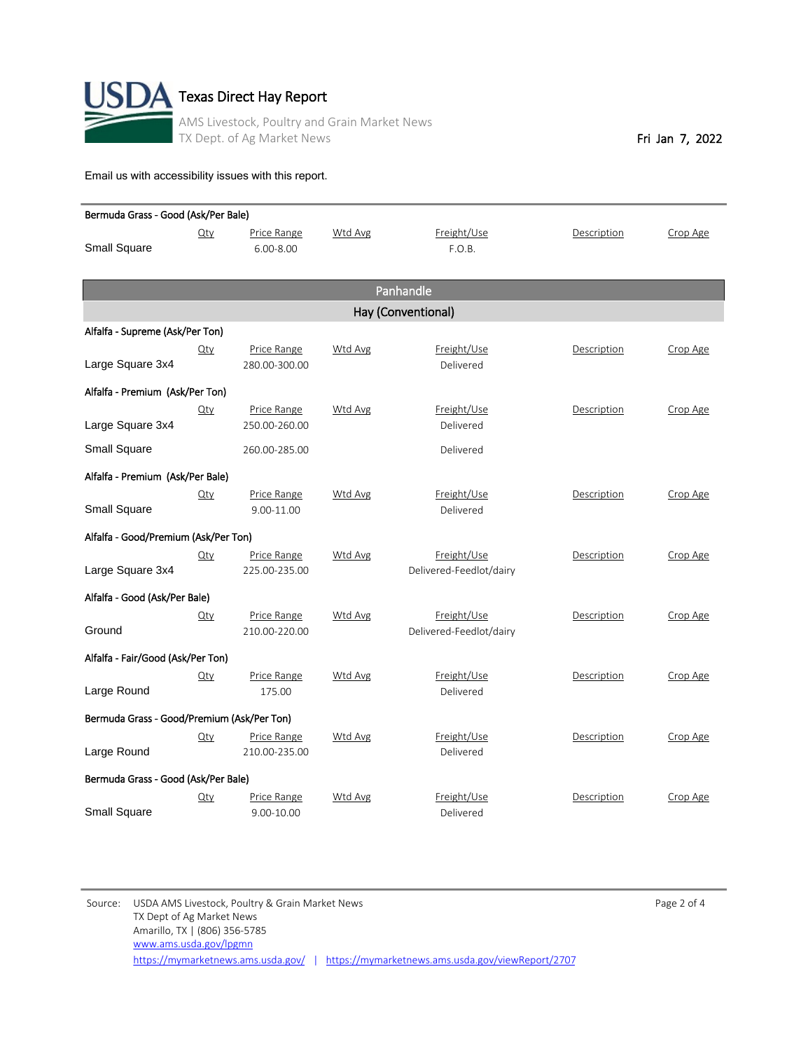

| Bermuda Grass - Good (Ask/Per Bale)        |                                      |               |                |                         |             |          |  |  |
|--------------------------------------------|--------------------------------------|---------------|----------------|-------------------------|-------------|----------|--|--|
|                                            | Qty                                  | Price Range   | Wtd Avg        | Freight/Use             | Description | Crop Age |  |  |
| <b>Small Square</b>                        |                                      | $6.00 - 8.00$ |                | F.O.B.                  |             |          |  |  |
|                                            |                                      |               |                |                         |             |          |  |  |
|                                            |                                      |               |                | Panhandle               |             |          |  |  |
|                                            |                                      |               |                | Hay (Conventional)      |             |          |  |  |
| Alfalfa - Supreme (Ask/Per Ton)            |                                      |               |                |                         |             |          |  |  |
|                                            | $Q$ ty                               | Price Range   | Wtd Avg        | Freight/Use             | Description | Crop Age |  |  |
| Large Square 3x4                           |                                      | 280.00-300.00 |                | Delivered               |             |          |  |  |
| Alfalfa - Premium (Ask/Per Ton)            |                                      |               |                |                         |             |          |  |  |
|                                            | $Q$ ty                               | Price Range   | <b>Wtd Avg</b> | Freight/Use             | Description | Crop Age |  |  |
| Large Square 3x4                           |                                      | 250.00-260.00 |                | Delivered               |             |          |  |  |
| <b>Small Square</b>                        |                                      | 260.00-285.00 |                | Delivered               |             |          |  |  |
| Alfalfa - Premium (Ask/Per Bale)           |                                      |               |                |                         |             |          |  |  |
|                                            | $Q$ ty                               | Price Range   | <b>Wtd Avg</b> | Freight/Use             | Description | Crop Age |  |  |
| <b>Small Square</b>                        |                                      | 9.00-11.00    |                | Delivered               |             |          |  |  |
|                                            | Alfalfa - Good/Premium (Ask/Per Ton) |               |                |                         |             |          |  |  |
|                                            | $Q$ ty                               | Price Range   | Wtd Avg        | Freight/Use             | Description | Crop Age |  |  |
| Large Square 3x4                           |                                      | 225.00-235.00 |                | Delivered-Feedlot/dairy |             |          |  |  |
| Alfalfa - Good (Ask/Per Bale)              |                                      |               |                |                         |             |          |  |  |
|                                            | $Q$ ty                               | Price Range   | <b>Wtd Avg</b> | Freight/Use             | Description | Crop Age |  |  |
| Ground                                     |                                      | 210.00-220.00 |                | Delivered-Feedlot/dairy |             |          |  |  |
|                                            | Alfalfa - Fair/Good (Ask/Per Ton)    |               |                |                         |             |          |  |  |
|                                            | $Q$ ty                               | Price Range   | Wtd Avg        | Freight/Use             | Description | Crop Age |  |  |
| Large Round                                |                                      | 175.00        |                | Delivered               |             |          |  |  |
| Bermuda Grass - Good/Premium (Ask/Per Ton) |                                      |               |                |                         |             |          |  |  |
|                                            | $Q$ ty                               | Price Range   | Wtd Avg        | Freight/Use             | Description | Crop Age |  |  |
| Large Round                                |                                      | 210.00-235.00 |                | Delivered               |             |          |  |  |
| Bermuda Grass - Good (Ask/Per Bale)        |                                      |               |                |                         |             |          |  |  |
|                                            | $Q$ ty                               | Price Range   | Wtd Avg        | Freight/Use             | Description | Crop Age |  |  |
| <b>Small Square</b>                        |                                      | 9.00-10.00    |                | Delivered               |             |          |  |  |

Source: USDA AMS Livestock, Poultry & Grain Market News **Page 2 of 4** Page 2 of 4 TX Dept of Ag Market News Amarillo, TX | (806) 356-5785 <https://mymarketnews.ams.usda.gov/> | <https://mymarketnews.ams.usda.gov/viewReport/2707> [www.ams.usda.gov/lpgmn](http://www.ams.usda.gov/lpgmn)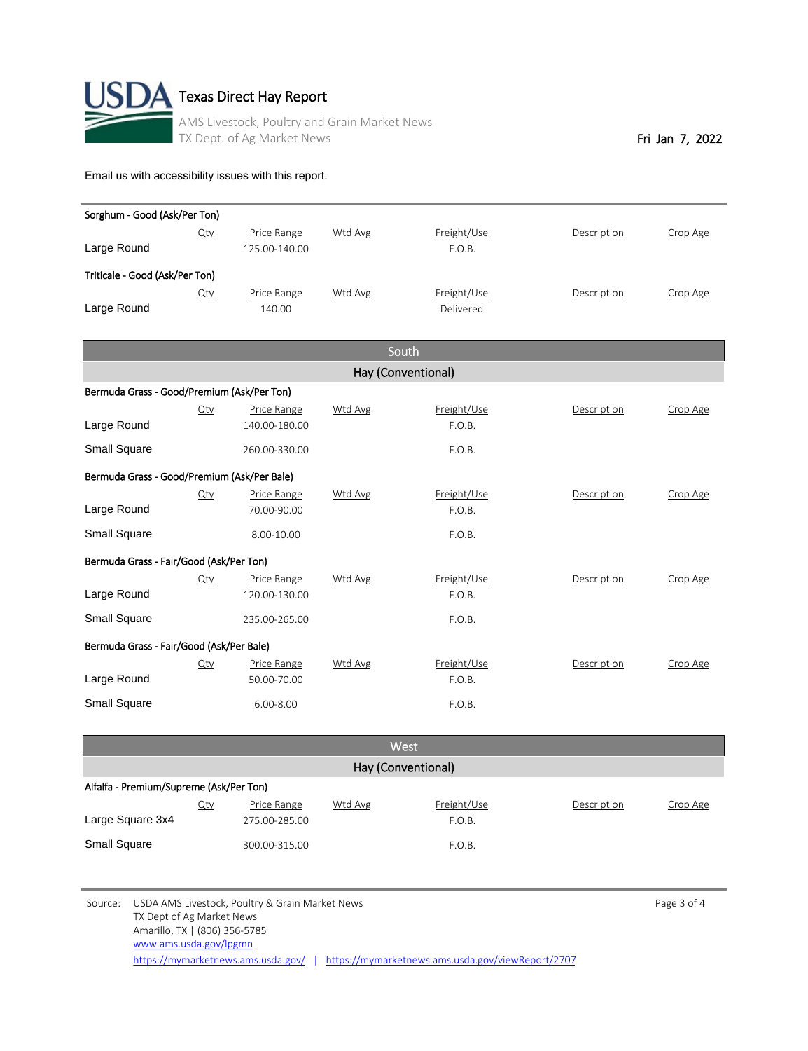

| Sorghum - Good (Ask/Per Ton)                |        |                              |                |                       |             |          |  |  |
|---------------------------------------------|--------|------------------------------|----------------|-----------------------|-------------|----------|--|--|
|                                             | $Q$ ty | Price Range                  | Wtd Avg        | Freight/Use           | Description | Crop Age |  |  |
| Large Round                                 |        | 125.00-140.00                |                | F.O.B.                |             |          |  |  |
| Triticale - Good (Ask/Per Ton)              |        |                              |                |                       |             |          |  |  |
|                                             | $Q$ ty | Price Range                  | Wtd Avg        | Freight/Use           | Description | Crop Age |  |  |
| Large Round                                 |        | 140.00                       |                | Delivered             |             |          |  |  |
|                                             |        |                              |                |                       |             |          |  |  |
|                                             |        |                              |                | South                 |             |          |  |  |
|                                             |        |                              |                | Hay (Conventional)    |             |          |  |  |
| Bermuda Grass - Good/Premium (Ask/Per Ton)  |        |                              |                |                       |             |          |  |  |
|                                             | $Q$ ty | Price Range                  | Wtd Avg        | Freight/Use           | Description | Crop Age |  |  |
| Large Round                                 |        | 140.00-180.00                |                | F.O.B.                |             |          |  |  |
| <b>Small Square</b>                         |        | 260.00-330.00                |                | F.O.B.                |             |          |  |  |
| Bermuda Grass - Good/Premium (Ask/Per Bale) |        |                              |                |                       |             |          |  |  |
|                                             | $Q$ ty | Price Range                  | Wtd Avg        | Freight/Use           | Description | Crop Age |  |  |
| Large Round                                 |        | 70.00-90.00                  |                | F.O.B.                |             |          |  |  |
| Small Square                                |        | 8.00-10.00                   |                | F.O.B.                |             |          |  |  |
|                                             |        |                              |                |                       |             |          |  |  |
| Bermuda Grass - Fair/Good (Ask/Per Ton)     |        |                              |                |                       |             |          |  |  |
| Large Round                                 | $Q$ ty | Price Range<br>120.00-130.00 | Wtd Avg        | Freight/Use<br>F.O.B. | Description | Crop Age |  |  |
|                                             |        |                              |                |                       |             |          |  |  |
| Small Square                                |        | 235.00-265.00                |                | F.O.B.                |             |          |  |  |
| Bermuda Grass - Fair/Good (Ask/Per Bale)    |        |                              |                |                       |             |          |  |  |
|                                             | $Q$ ty | Price Range                  | <b>Wtd Avg</b> | Freight/Use           | Description | Crop Age |  |  |
| Large Round                                 |        | 50.00-70.00                  |                | F.O.B.                |             |          |  |  |
| <b>Small Square</b>                         |        | $6.00 - 8.00$                |                | F.O.B.                |             |          |  |  |
|                                             |        |                              |                |                       |             |          |  |  |
|                                             |        |                              |                | M <sub>o</sub> ct     |             |          |  |  |

| <b>West</b>                             |     |               |         |             |             |          |  |  |
|-----------------------------------------|-----|---------------|---------|-------------|-------------|----------|--|--|
| Hay (Conventional)                      |     |               |         |             |             |          |  |  |
| Alfalfa - Premium/Supreme (Ask/Per Ton) |     |               |         |             |             |          |  |  |
|                                         | Qty | Price Range   | Wtd Avg | Freight/Use | Description | Crop Age |  |  |
| Large Square 3x4                        |     | 275.00-285.00 |         | F.O.B.      |             |          |  |  |
| <b>Small Square</b>                     |     | 300.00-315.00 |         | F.O.B.      |             |          |  |  |

Source: USDA AMS Livestock, Poultry & Grain Market News and the extendion of the Page 3 of 4 TX Dept of Ag Market News Amarillo, TX | (806) 356-5785 [www.ams.usda.gov/lpgmn](http://www.ams.usda.gov/lpgmn)

<https://mymarketnews.ams.usda.gov/> | <https://mymarketnews.ams.usda.gov/viewReport/2707>